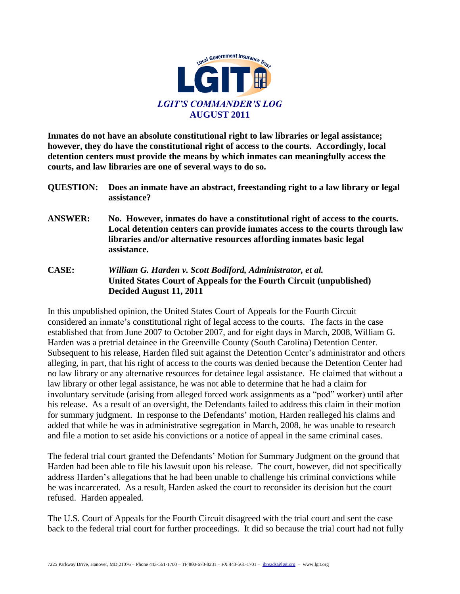

**Inmates do not have an absolute constitutional right to law libraries or legal assistance; however, they do have the constitutional right of access to the courts. Accordingly, local detention centers must provide the means by which inmates can meaningfully access the courts, and law libraries are one of several ways to do so.** 

- **QUESTION: Does an inmate have an abstract, freestanding right to a law library or legal assistance?**
- **ANSWER: No. However, inmates do have a constitutional right of access to the courts. Local detention centers can provide inmates access to the courts through law libraries and/or alternative resources affording inmates basic legal assistance.**
- **CASE:** *William G. Harden v. Scott Bodiford, Administrator, et al.* **United States Court of Appeals for the Fourth Circuit (unpublished) Decided August 11, 2011**

In this unpublished opinion, the United States Court of Appeals for the Fourth Circuit considered an inmate's constitutional right of legal access to the courts. The facts in the case established that from June 2007 to October 2007, and for eight days in March, 2008, William G. Harden was a pretrial detainee in the Greenville County (South Carolina) Detention Center. Subsequent to his release, Harden filed suit against the Detention Center's administrator and others alleging, in part, that his right of access to the courts was denied because the Detention Center had no law library or any alternative resources for detainee legal assistance. He claimed that without a law library or other legal assistance, he was not able to determine that he had a claim for involuntary servitude (arising from alleged forced work assignments as a "pod" worker) until after his release. As a result of an oversight, the Defendants failed to address this claim in their motion for summary judgment. In response to the Defendants' motion, Harden realleged his claims and added that while he was in administrative segregation in March, 2008, he was unable to research and file a motion to set aside his convictions or a notice of appeal in the same criminal cases.

The federal trial court granted the Defendants' Motion for Summary Judgment on the ground that Harden had been able to file his lawsuit upon his release. The court, however, did not specifically address Harden's allegations that he had been unable to challenge his criminal convictions while he was incarcerated. As a result, Harden asked the court to reconsider its decision but the court refused. Harden appealed.

The U.S. Court of Appeals for the Fourth Circuit disagreed with the trial court and sent the case back to the federal trial court for further proceedings. It did so because the trial court had not fully